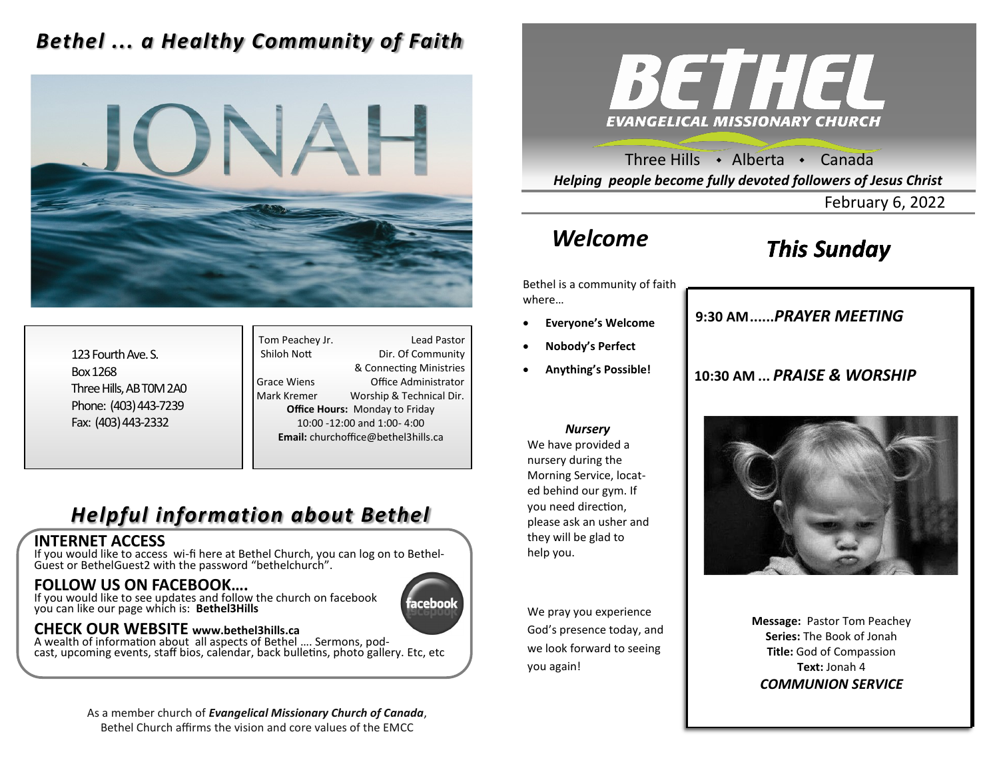### *Bethel ... a Healthy Community of Faith*



123 Fourth Ave. S. Box 1268 Three Hills, AB T0M 2A0 Phone: (403) 443-7239 Fax: (403) 443-2332

Tom Peachey Jr. **Lead Pastor** Shiloh Nott Dir. Of Community & Connecting Ministries Grace Wiens Office Administrator Mark Kremer Worship & Technical Dir. **Office Hours:** Monday to Friday 10:00 -12:00 and 1:00- 4:00 **Email:** churchoffice@bethel3hills.ca

### *Helpful information about Bethel*

#### **INTERNET ACCESS**

If you would like to access wi-fi here at Bethel Church, you can log on to Bethel-Guest or BethelGuest2 with the password "bethelchurch".

### **FOLLOW US ON FACEBOOK….**

If you would like to see updates and follow the church on facebook you can like our page which is: **Bethel3Hills**

# acebool

### **CHECK OUR WEBSITE www.bethel3hills.ca**

A wealth of information about all aspects of Bethel …. Sermons, podcast, upcoming events, staff bios, calendar, back bulletins, photo gallery. Etc, etc

> As a member church of *Evangelical Missionary Church of Canada*, Bethel Church affirms the vision and core values of the EMCC



Three Hills  $\rightarrow$  Alberta  $\rightarrow$  Canada *Helping people become fully devoted followers of Jesus Christ*

February 6, 2022

# *Welcome*

# *This Sunday*

Bethel is a community of faith where…

- **Everyone's Welcome**
- **Nobody's Perfect**
- **Anything's Possible!**

### **9:30 AM......***SUNDAY SCHOOL* **9:30 AM......***PRAYER MEETING*

### **10:30 AM ...** *PRAISE & WORSHIP*

#### *Nursery*

We have provided a nursery during the Morning Service, located behind our gym. If you need direction, please ask an usher and they will be glad to help you.

We pray you experience God's presence today, and we look forward to seeing you again!



**Message:** Pastor Tom Peachey **Series:** The Book of Jonah **Title:** God of Compassion **Text:** Jonah 4 *COMMUNION SERVICE*